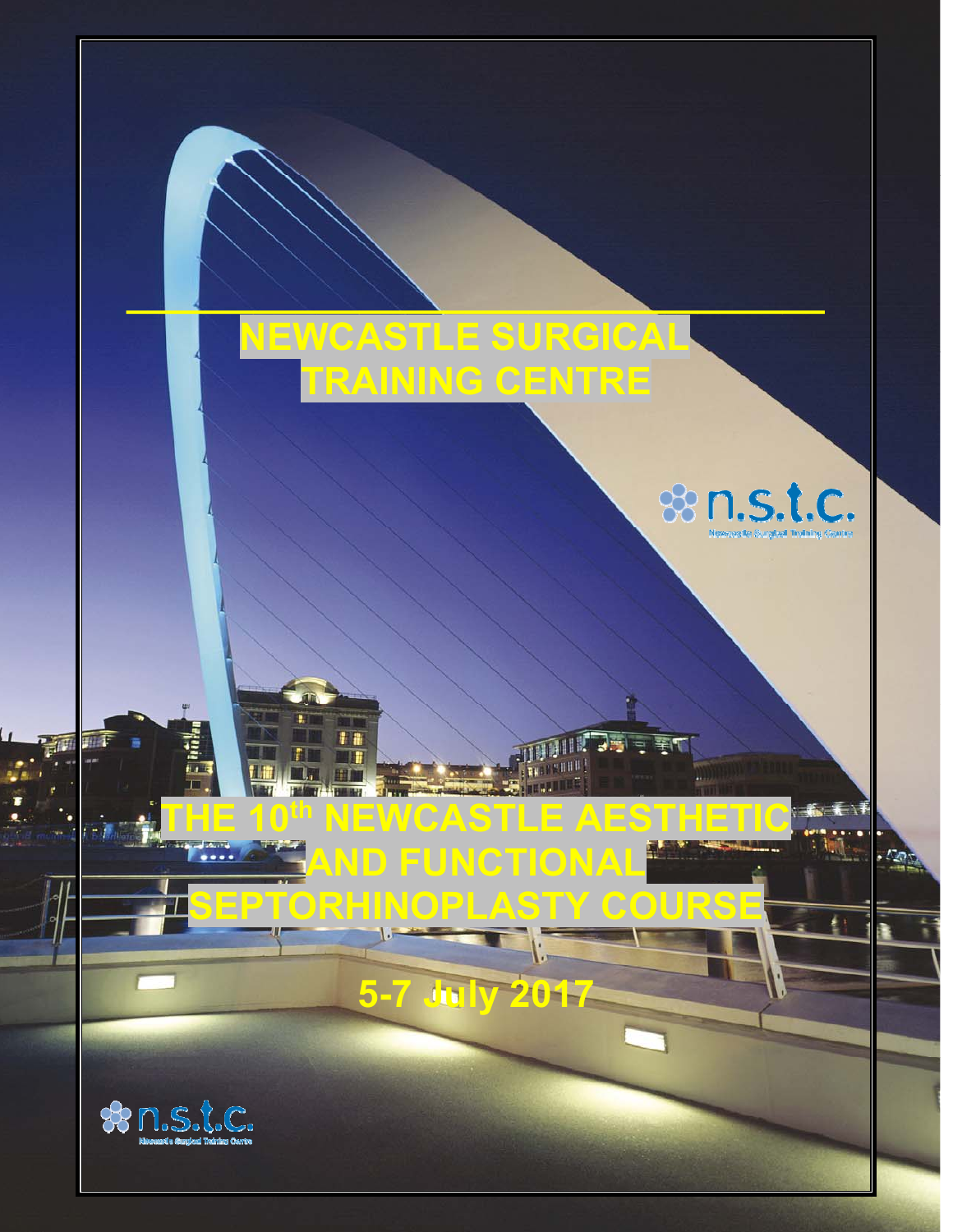# **NEWCASTLE SURGICAL TRAINING CENTRE**

**TE 10<sup>th</sup> NEWCASTLE AESTHET** 

**AND FUNCTIONAL** 

**SEPTORHINOPLASTY COURSE** 

**5-7 July 2017** 

**\_\_\_\_\_\_\_\_\_\_\_\_\_\_\_\_\_\_\_\_\_\_\_\_\_\_\_\_\_\_\_\_\_** 



. Any



河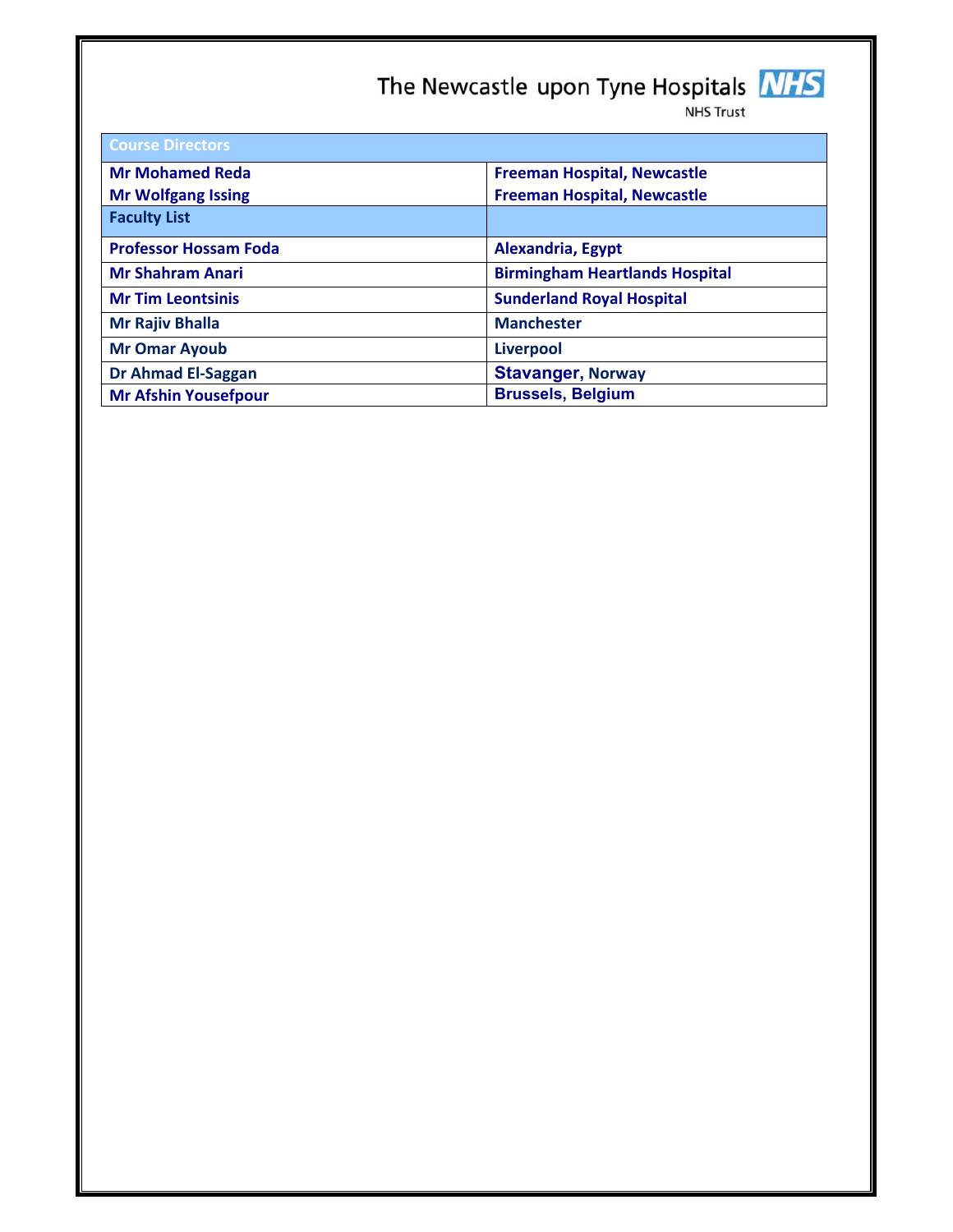# The Newcastle upon Tyne Hospitals **NHS**



| <b>Course Directors</b>      |                                       |  |  |  |
|------------------------------|---------------------------------------|--|--|--|
| <b>Mr Mohamed Reda</b>       | <b>Freeman Hospital, Newcastle</b>    |  |  |  |
| <b>Mr Wolfgang Issing</b>    | <b>Freeman Hospital, Newcastle</b>    |  |  |  |
| <b>Faculty List</b>          |                                       |  |  |  |
| <b>Professor Hossam Foda</b> | Alexandria, Egypt                     |  |  |  |
| <b>Mr Shahram Anari</b>      | <b>Birmingham Heartlands Hospital</b> |  |  |  |
| <b>Mr Tim Leontsinis</b>     | <b>Sunderland Royal Hospital</b>      |  |  |  |
| <b>Mr Rajiv Bhalla</b>       | <b>Manchester</b>                     |  |  |  |
| <b>Mr Omar Ayoub</b>         | <b>Liverpool</b>                      |  |  |  |
| <b>Dr Ahmad El-Saggan</b>    | <b>Stavanger, Norway</b>              |  |  |  |
| <b>Mr Afshin Yousefpour</b>  | <b>Brussels, Belgium</b>              |  |  |  |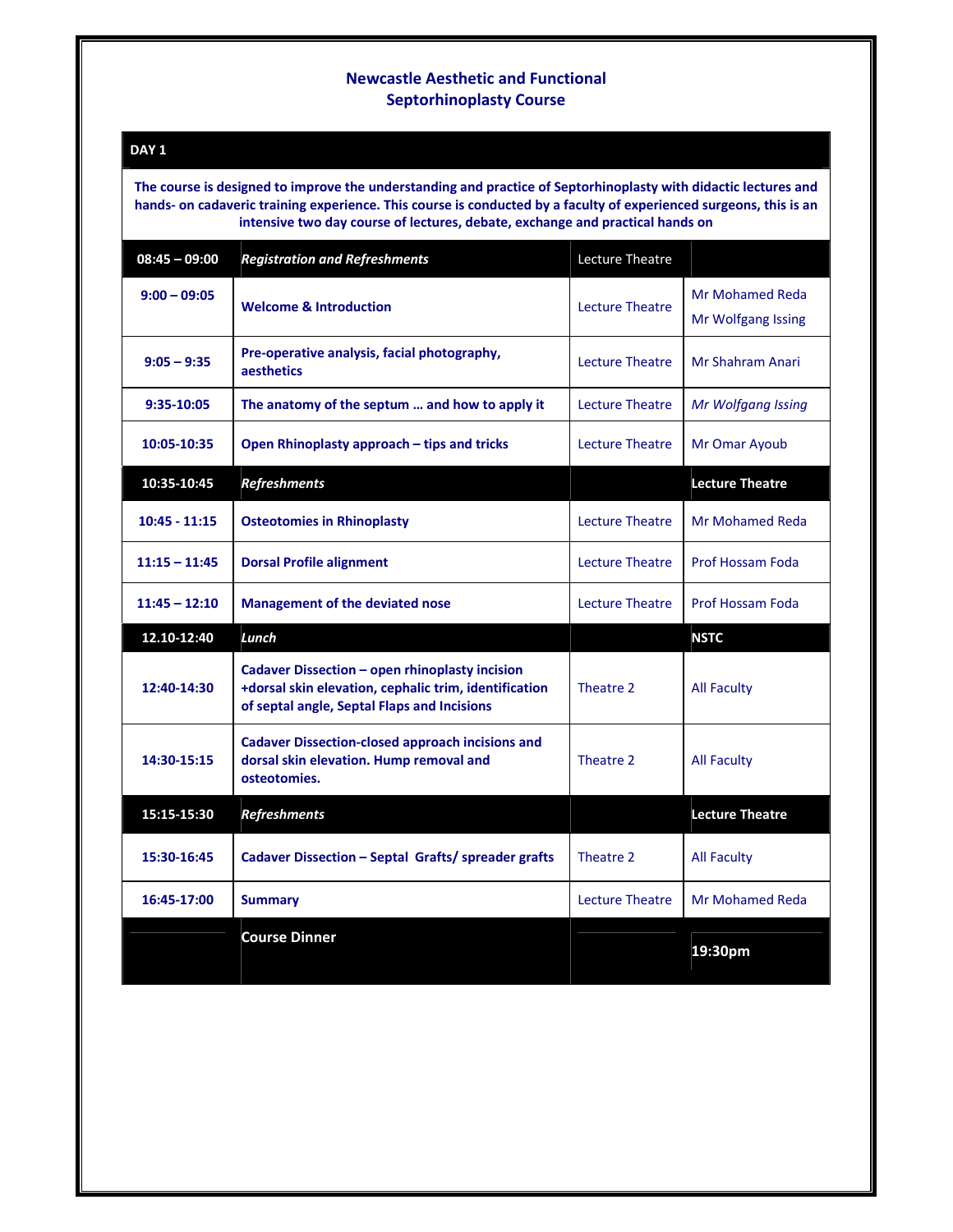#### **Newcastle Aesthetic and Functional Septorhinoplasty Course**

#### **DAY 1**

**The course is designed to improve the understanding and practice of Septorhinoplasty with didactic lectures and** hands- on cadaveric training experience. This course is conducted by a faculty of experienced surgeons, this is an **intensive two day course of lectures, debate, exchange and practical hands on**

| $08:45 - 09:00$ | <b>Registration and Refreshments</b>                                                                                                                   | Lecture Theatre        |                                       |
|-----------------|--------------------------------------------------------------------------------------------------------------------------------------------------------|------------------------|---------------------------------------|
| $9:00 - 09:05$  | <b>Welcome &amp; Introduction</b>                                                                                                                      | Lecture Theatre        | Mr Mohamed Reda<br>Mr Wolfgang Issing |
| $9:05 - 9:35$   | Pre-operative analysis, facial photography,<br>aesthetics                                                                                              | Lecture Theatre        | Mr Shahram Anari                      |
| 9:35-10:05      | The anatomy of the septum  and how to apply it                                                                                                         | <b>Lecture Theatre</b> | <b>Mr Wolfgang Issing</b>             |
| 10:05-10:35     | Open Rhinoplasty approach - tips and tricks                                                                                                            | Lecture Theatre        | Mr Omar Ayoub                         |
| 10:35-10:45     | <b>Refreshments</b>                                                                                                                                    |                        | <b>Lecture Theatre</b>                |
| $10:45 - 11:15$ | <b>Osteotomies in Rhinoplasty</b>                                                                                                                      | <b>Lecture Theatre</b> | Mr Mohamed Reda                       |
| $11:15 - 11:45$ | <b>Dorsal Profile alignment</b>                                                                                                                        | Lecture Theatre        | Prof Hossam Foda                      |
| $11:45 - 12:10$ | <b>Management of the deviated nose</b>                                                                                                                 | <b>Lecture Theatre</b> | <b>Prof Hossam Foda</b>               |
| 12.10-12:40     | Lunch                                                                                                                                                  |                        | <b>NSTC</b>                           |
| 12:40-14:30     | Cadaver Dissection - open rhinoplasty incision<br>+dorsal skin elevation, cephalic trim, identification<br>of septal angle, Septal Flaps and Incisions | Theatre 2              | <b>All Faculty</b>                    |
| 14:30-15:15     | <b>Cadaver Dissection-closed approach incisions and</b><br>dorsal skin elevation. Hump removal and<br>osteotomies.                                     | Theatre 2              | <b>All Faculty</b>                    |
| 15:15-15:30     | <b>Refreshments</b>                                                                                                                                    |                        | <b>Lecture Theatre</b>                |
| 15:30-16:45     | Cadaver Dissection - Septal Grafts/ spreader grafts                                                                                                    | Theatre 2              | <b>All Faculty</b>                    |
| 16:45-17:00     | <b>Summary</b>                                                                                                                                         | <b>Lecture Theatre</b> | <b>Mr Mohamed Reda</b>                |
|                 | <b>Course Dinner</b>                                                                                                                                   |                        | 19:30pm                               |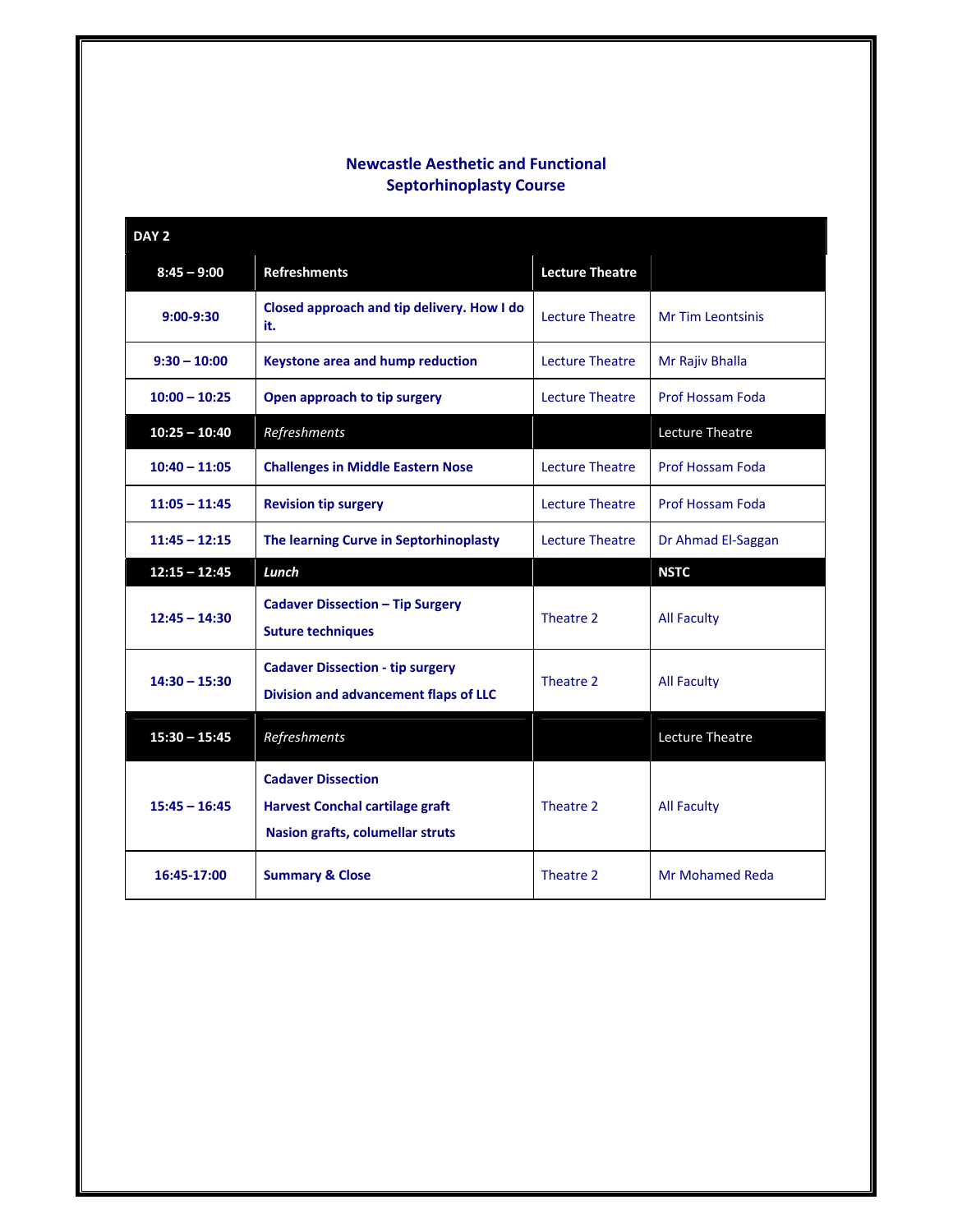## **Newcastle Aesthetic and Functional Septorhinoplasty Course**

| DAY <sub>2</sub> |                                                                                                                |                        |                          |
|------------------|----------------------------------------------------------------------------------------------------------------|------------------------|--------------------------|
| $8:45 - 9:00$    | <b>Refreshments</b>                                                                                            | <b>Lecture Theatre</b> |                          |
| $9:00-9:30$      | Closed approach and tip delivery. How I do<br>it.                                                              | Lecture Theatre        | <b>Mr Tim Leontsinis</b> |
| $9:30 - 10:00$   | Keystone area and hump reduction                                                                               | <b>Lecture Theatre</b> | Mr Rajiv Bhalla          |
| $10:00 - 10:25$  | Open approach to tip surgery                                                                                   | <b>Lecture Theatre</b> | <b>Prof Hossam Foda</b>  |
| $10:25 - 10:40$  | Refreshments                                                                                                   |                        | Lecture Theatre          |
| $10:40 - 11:05$  | <b>Challenges in Middle Eastern Nose</b>                                                                       | <b>Lecture Theatre</b> | <b>Prof Hossam Foda</b>  |
| $11:05 - 11:45$  | <b>Revision tip surgery</b>                                                                                    | <b>Lecture Theatre</b> | <b>Prof Hossam Foda</b>  |
| $11:45 - 12:15$  | The learning Curve in Septorhinoplasty                                                                         | <b>Lecture Theatre</b> | Dr Ahmad El-Saggan       |
|                  |                                                                                                                |                        |                          |
| $12:15 - 12:45$  | Lunch                                                                                                          |                        | <b>NSTC</b>              |
| $12:45 - 14:30$  | <b>Cadaver Dissection - Tip Surgery</b><br><b>Suture techniques</b>                                            | Theatre 2              | <b>All Faculty</b>       |
| $14:30 - 15:30$  | <b>Cadaver Dissection - tip surgery</b><br>Division and advancement flaps of LLC                               | Theatre 2              | <b>All Faculty</b>       |
| $15:30 - 15:45$  | Refreshments                                                                                                   |                        | Lecture Theatre          |
| $15:45 - 16:45$  | <b>Cadaver Dissection</b><br><b>Harvest Conchal cartilage graft</b><br><b>Nasion grafts, columellar struts</b> | Theatre 2              | <b>All Faculty</b>       |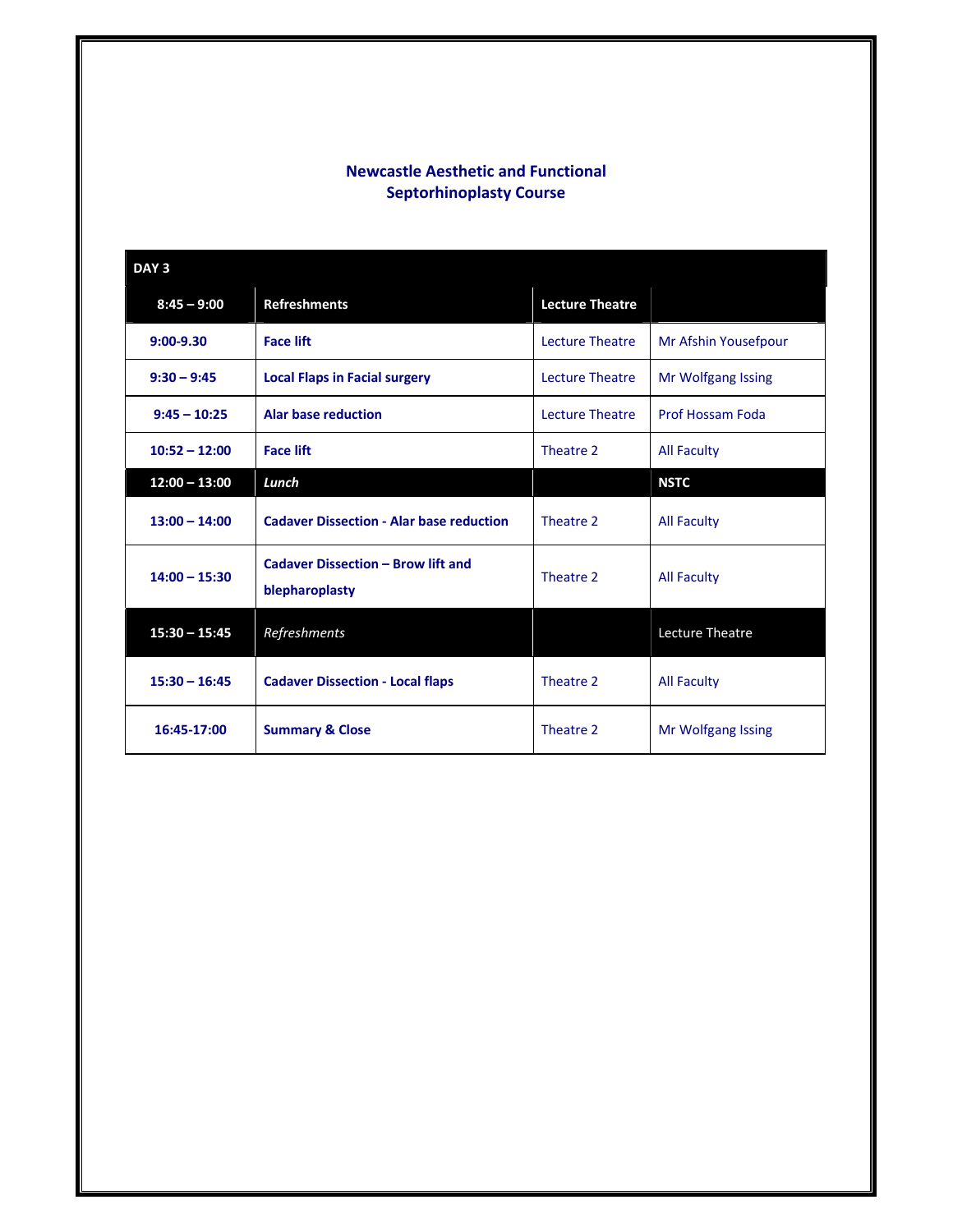## **Newcastle Aesthetic and Functional Septorhinoplasty Course**

| DAY <sub>3</sub> |                                                             |                        |                         |  |  |
|------------------|-------------------------------------------------------------|------------------------|-------------------------|--|--|
| $8:45 - 9:00$    | <b>Refreshments</b>                                         | <b>Lecture Theatre</b> |                         |  |  |
| $9:00 - 9.30$    | <b>Face lift</b>                                            | Lecture Theatre        | Mr Afshin Yousefpour    |  |  |
| $9:30 - 9:45$    | <b>Local Flaps in Facial surgery</b>                        | <b>Lecture Theatre</b> | Mr Wolfgang Issing      |  |  |
| $9:45 - 10:25$   | <b>Alar base reduction</b>                                  | <b>Lecture Theatre</b> | <b>Prof Hossam Foda</b> |  |  |
| $10:52 - 12:00$  | <b>Face lift</b>                                            | Theatre 2              | <b>All Faculty</b>      |  |  |
| $12:00 - 13:00$  | Lunch                                                       |                        | <b>NSTC</b>             |  |  |
| $13:00 - 14:00$  | <b>Cadaver Dissection - Alar base reduction</b>             | Theatre 2              | <b>All Faculty</b>      |  |  |
| $14:00 - 15:30$  | <b>Cadaver Dissection - Brow lift and</b><br>blepharoplasty | Theatre 2              | <b>All Faculty</b>      |  |  |
| $15:30 - 15:45$  | Refreshments                                                |                        | <b>Lecture Theatre</b>  |  |  |
| $15:30 - 16:45$  | <b>Cadaver Dissection - Local flaps</b>                     | Theatre 2              | <b>All Faculty</b>      |  |  |
| 16:45-17:00      | <b>Summary &amp; Close</b>                                  | Theatre 2              | Mr Wolfgang Issing      |  |  |